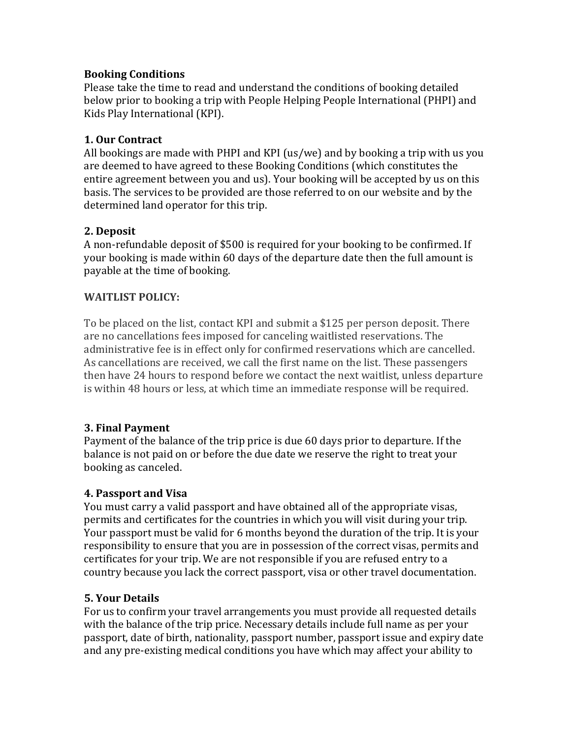#### **Booking Conditions**

Please take the time to read and understand the conditions of booking detailed below prior to booking a trip with People Helping People International (PHPI) and Kids Play International (KPI).

#### **1. Our Contract**

All bookings are made with PHPI and KPI (us/we) and by booking a trip with us you are deemed to have agreed to these Booking Conditions (which constitutes the entire agreement between you and us). Your booking will be accepted by us on this basis. The services to be provided are those referred to on our website and by the determined land operator for this trip.

### **2. Deposit**

A non-refundable deposit of \$500 is required for your booking to be confirmed. If your booking is made within 60 days of the departure date then the full amount is payable at the time of booking.

### **WAITLIST POLICY:**

To be placed on the list, contact KPI and submit a \$125 per person deposit. There are no cancellations fees imposed for canceling waitlisted reservations. The administrative fee is in effect only for confirmed reservations which are cancelled. As cancellations are received, we call the first name on the list. These passengers then have 24 hours to respond before we contact the next waitlist, unless departure is within 48 hours or less, at which time an immediate response will be required.

### **3. Final Payment**

Payment of the balance of the trip price is due 60 days prior to departure. If the balance is not paid on or before the due date we reserve the right to treat your booking as canceled.

#### **4. Passport and Visa**

You must carry a valid passport and have obtained all of the appropriate visas, permits and certificates for the countries in which you will visit during your trip. Your passport must be valid for 6 months beyond the duration of the trip. It is your responsibility to ensure that you are in possession of the correct visas, permits and certificates for your trip. We are not responsible if you are refused entry to a country because you lack the correct passport, visa or other travel documentation.

### **5. Your Details**

For us to confirm your travel arrangements you must provide all requested details with the balance of the trip price. Necessary details include full name as per your passport, date of birth, nationality, passport number, passport issue and expiry date and any pre-existing medical conditions you have which may affect your ability to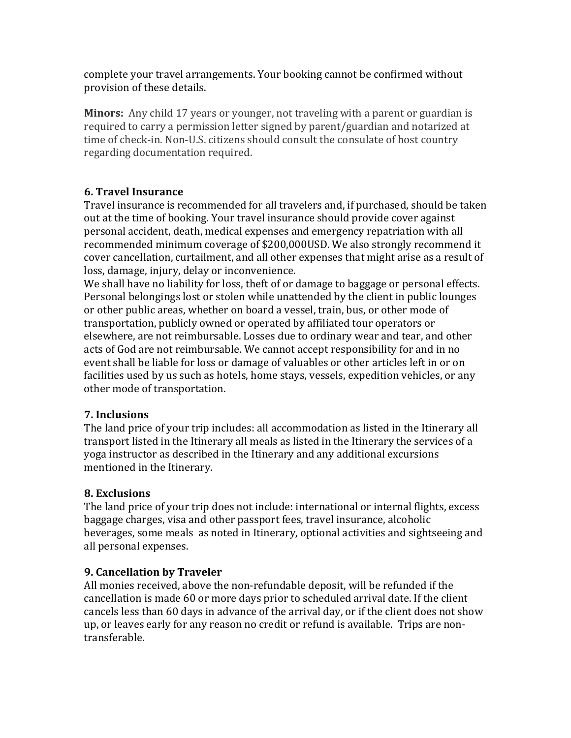complete your travel arrangements. Your booking cannot be confirmed without provision of these details.

**Minors:** Any child 17 years or younger, not traveling with a parent or guardian is required to carry a permission letter signed by parent/guardian and notarized at time of check-in. Non-U.S. citizens should consult the consulate of host country regarding documentation required.

## **6. Travel Insurance**

Travel insurance is recommended for all travelers and, if purchased, should be taken out at the time of booking. Your travel insurance should provide cover against personal accident, death, medical expenses and emergency repatriation with all recommended minimum coverage of \$200,000USD. We also strongly recommend it cover cancellation, curtailment, and all other expenses that might arise as a result of loss, damage, injury, delay or inconvenience.

We shall have no liability for loss, theft of or damage to baggage or personal effects. Personal belongings lost or stolen while unattended by the client in public lounges or other public areas, whether on board a vessel, train, bus, or other mode of transportation, publicly owned or operated by affiliated tour operators or elsewhere, are not reimbursable. Losses due to ordinary wear and tear, and other acts of God are not reimbursable. We cannot accept responsibility for and in no event shall be liable for loss or damage of valuables or other articles left in or on facilities used by us such as hotels, home stays, vessels, expedition vehicles, or any other mode of transportation.

# **7. Inclusions**

The land price of your trip includes: all accommodation as listed in the Itinerary all transport listed in the Itinerary all meals as listed in the Itinerary the services of a yoga instructor as described in the Itinerary and any additional excursions mentioned in the Itinerary.

# **8. Exclusions**

The land price of your trip does not include: international or internal flights, excess baggage charges, visa and other passport fees, travel insurance, alcoholic beverages, some meals as noted in Itinerary, optional activities and sightseeing and all personal expenses.

# **9. Cancellation by Traveler**

All monies received, above the non-refundable deposit, will be refunded if the cancellation is made 60 or more days prior to scheduled arrival date. If the client cancels less than 60 days in advance of the arrival day, or if the client does not show up, or leaves early for any reason no credit or refund is available. Trips are nontransferable.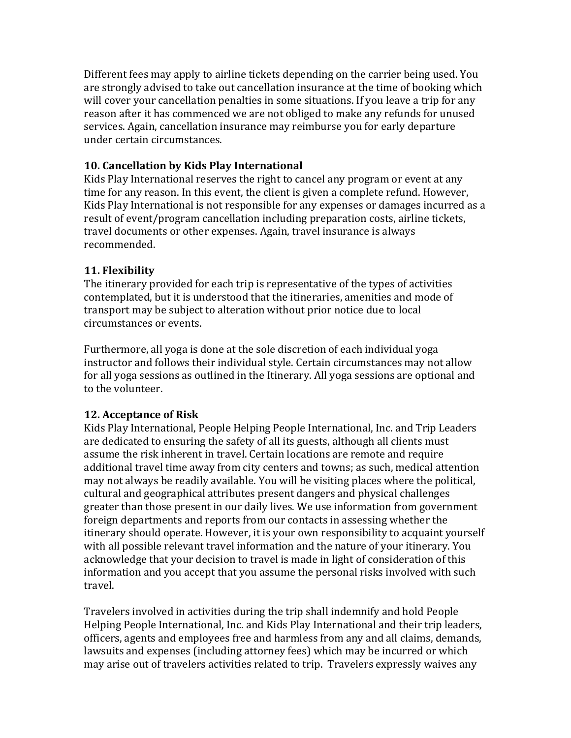Different fees may apply to airline tickets depending on the carrier being used. You are strongly advised to take out cancellation insurance at the time of booking which will cover your cancellation penalties in some situations. If you leave a trip for any reason after it has commenced we are not obliged to make any refunds for unused services. Again, cancellation insurance may reimburse you for early departure under certain circumstances.

### **10. Cancellation by Kids Play International**

Kids Play International reserves the right to cancel any program or event at any time for any reason. In this event, the client is given a complete refund. However, Kids Play International is not responsible for any expenses or damages incurred as a result of event/program cancellation including preparation costs, airline tickets, travel documents or other expenses. Again, travel insurance is always recommended.

## **11. Flexibility**

The itinerary provided for each trip is representative of the types of activities contemplated, but it is understood that the itineraries, amenities and mode of transport may be subject to alteration without prior notice due to local circumstances or events.

Furthermore, all yoga is done at the sole discretion of each individual yoga instructor and follows their individual style. Certain circumstances may not allow for all yoga sessions as outlined in the Itinerary. All yoga sessions are optional and to the volunteer.

### **12. Acceptance of Risk**

Kids Play International, People Helping People International, Inc. and Trip Leaders are dedicated to ensuring the safety of all its guests, although all clients must assume the risk inherent in travel. Certain locations are remote and require additional travel time away from city centers and towns; as such, medical attention may not always be readily available. You will be visiting places where the political, cultural and geographical attributes present dangers and physical challenges greater than those present in our daily lives. We use information from government foreign departments and reports from our contacts in assessing whether the itinerary should operate. However, it is your own responsibility to acquaint yourself with all possible relevant travel information and the nature of your itinerary. You acknowledge that your decision to travel is made in light of consideration of this information and you accept that you assume the personal risks involved with such travel. 

Travelers involved in activities during the trip shall indemnify and hold People Helping People International, Inc. and Kids Play International and their trip leaders, officers, agents and employees free and harmless from any and all claims, demands, lawsuits and expenses (including attorney fees) which may be incurred or which may arise out of travelers activities related to trip. Travelers expressly waives any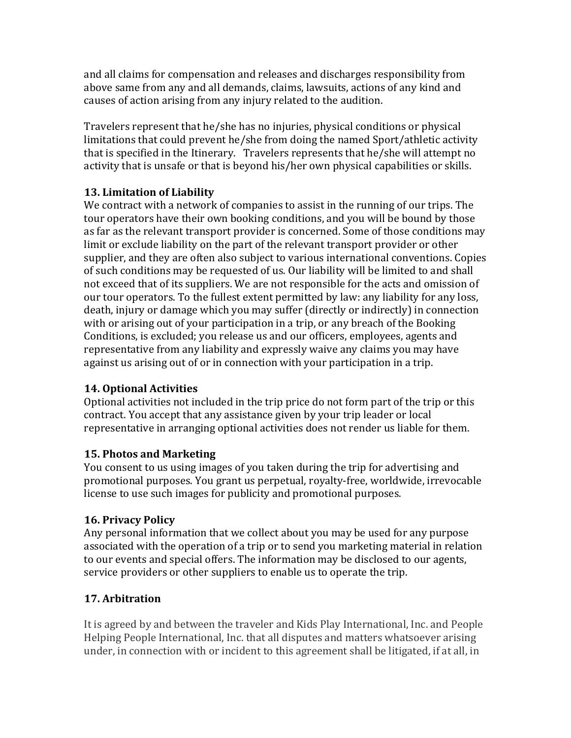and all claims for compensation and releases and discharges responsibility from above same from any and all demands, claims, lawsuits, actions of any kind and causes of action arising from any injury related to the audition.

Travelers represent that he/she has no injuries, physical conditions or physical limitations that could prevent he/she from doing the named Sport/athletic activity that is specified in the Itinerary. Travelers represents that  $he/she$  will attempt no activity that is unsafe or that is beyond his/her own physical capabilities or skills.

## **13. Limitation of Liability**

We contract with a network of companies to assist in the running of our trips. The tour operators have their own booking conditions, and you will be bound by those as far as the relevant transport provider is concerned. Some of those conditions may limit or exclude liability on the part of the relevant transport provider or other supplier, and they are often also subject to various international conventions. Copies of such conditions may be requested of us. Our liability will be limited to and shall not exceed that of its suppliers. We are not responsible for the acts and omission of our tour operators. To the fullest extent permitted by law: any liability for any loss, death, injury or damage which you may suffer (directly or indirectly) in connection with or arising out of your participation in a trip, or any breach of the Booking Conditions, is excluded; you release us and our officers, employees, agents and representative from any liability and expressly waive any claims you may have against us arising out of or in connection with your participation in a trip.

### **14. Optional Activities**

Optional activities not included in the trip price do not form part of the trip or this contract. You accept that any assistance given by your trip leader or local representative in arranging optional activities does not render us liable for them.

### **15. Photos and Marketing**

You consent to us using images of you taken during the trip for advertising and promotional purposes. You grant us perpetual, royalty-free, worldwide, irrevocable license to use such images for publicity and promotional purposes.

# **16. Privacy Policy**

Any personal information that we collect about you may be used for any purpose associated with the operation of a trip or to send you marketing material in relation to our events and special offers. The information may be disclosed to our agents, service providers or other suppliers to enable us to operate the trip.

# **17. Arbitration**

It is agreed by and between the traveler and Kids Play International, Inc. and People Helping People International, Inc. that all disputes and matters whatsoever arising under, in connection with or incident to this agreement shall be litigated, if at all, in